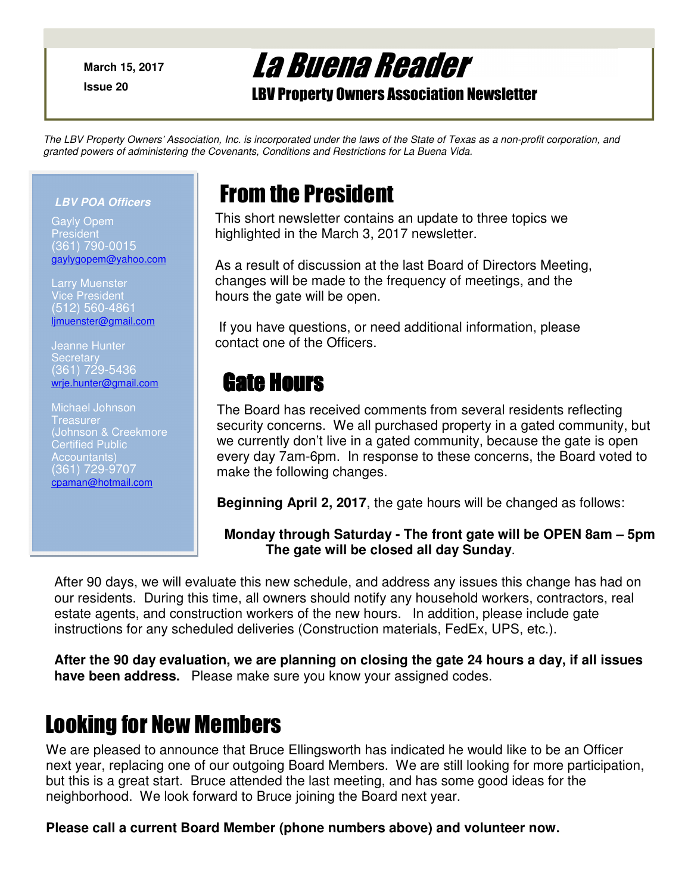**March 15, 2017**

**Issue 20** 

# La Buena Reader

LBV Property Owners Association Newsletter

The LBV Property Owners' Association, Inc. is incorporated under the laws of the State of Texas as a non-profit corporation, and granted powers of administering the Covenants, Conditions and Restrictions for La Buena Vida.

#### **LBV POA Officers**

Gayly Opem **President** (361) 790-0015 gaylygopem@yahoo.com

Larry Muenster **Vice President** (512) 560-4861 ljmuenster@gmail.com

Jeanne Hunter **Secretary** (361) 729-5436 wrje.hunter@gmail.com

Michael Johnson **Treasurer** (Johnson & Creekmore Certified Public ccountants) (361) 729-9707 cpaman@hotmail.com

### From the President

This short newsletter contains an update to three topics we highlighted in the March 3, 2017 newsletter.

As a result of discussion at the last Board of Directors Meeting, changes will be made to the frequency of meetings, and the hours the gate will be open.

 If you have questions, or need additional information, please contact one of the Officers.

## Gate Hours

The Board has received comments from several residents reflecting security concerns. We all purchased property in a gated community, but we currently don't live in a gated community, because the gate is open every day 7am-6pm. In response to these concerns, the Board voted to make the following changes.

**Beginning April 2, 2017**, the gate hours will be changed as follows:

### **Monday through Saturday - The front gate will be OPEN 8am – 5pm The gate will be closed all day Sunday**.

After 90 days, we will evaluate this new schedule, and address any issues this change has had on our residents. During this time, all owners should notify any household workers, contractors, real estate agents, and construction workers of the new hours. In addition, please include gate instructions for any scheduled deliveries (Construction materials, FedEx, UPS, etc.).

**After the 90 day evaluation, we are planning on closing the gate 24 hours a day, if all issues have been address.** Please make sure you know your assigned codes.

### Looking for New Members

We are pleased to announce that Bruce Ellingsworth has indicated he would like to be an Officer next year, replacing one of our outgoing Board Members. We are still looking for more participation, but this is a great start. Bruce attended the last meeting, and has some good ideas for the neighborhood. We look forward to Bruce joining the Board next year.

### **Please call a current Board Member (phone numbers above) and volunteer now.**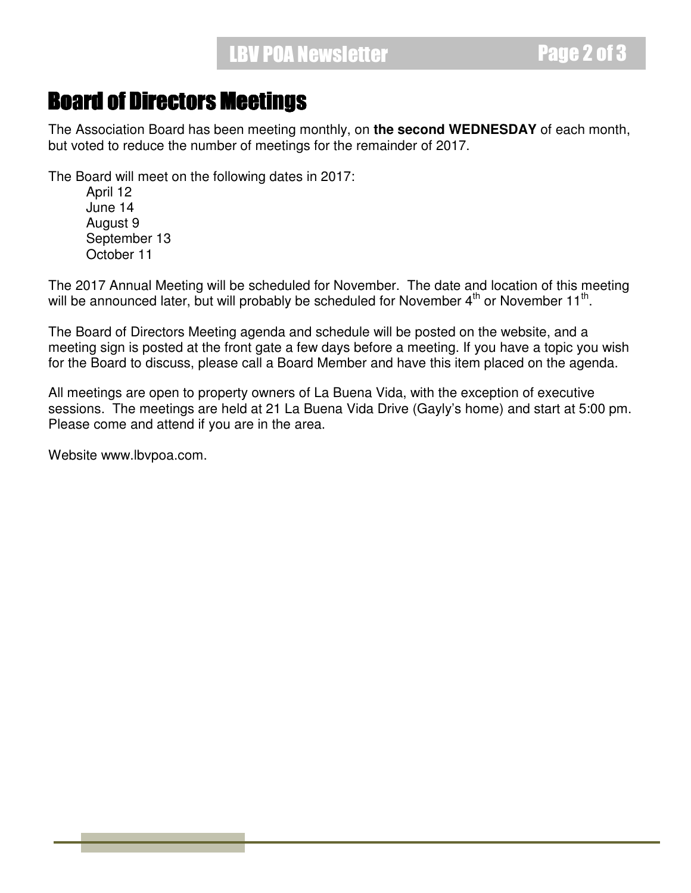### Board of Directors Meetings

The Association Board has been meeting monthly, on **the second WEDNESDAY** of each month, but voted to reduce the number of meetings for the remainder of 2017.

The Board will meet on the following dates in 2017:

 April 12 June 14 August 9 September 13 October 11

The 2017 Annual Meeting will be scheduled for November. The date and location of this meeting will be announced later, but will probably be scheduled for November  $4^{\text{th}}$  or November 11<sup>th</sup>.

The Board of Directors Meeting agenda and schedule will be posted on the website, and a meeting sign is posted at the front gate a few days before a meeting. If you have a topic you wish for the Board to discuss, please call a Board Member and have this item placed on the agenda.

All meetings are open to property owners of La Buena Vida, with the exception of executive sessions. The meetings are held at 21 La Buena Vida Drive (Gayly's home) and start at 5:00 pm. Please come and attend if you are in the area.

Website www.lbvpoa.com.